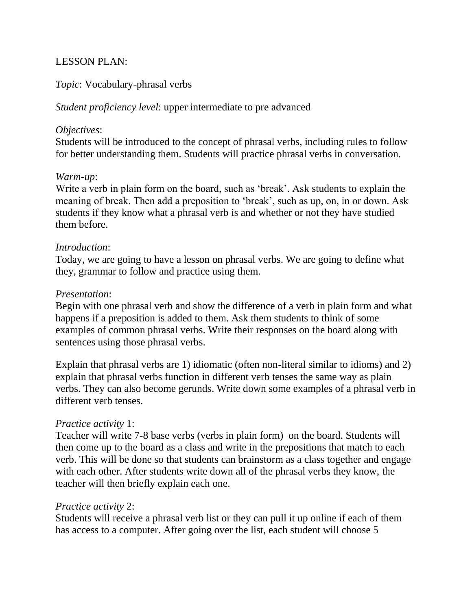# LESSON PLAN:

# *Topic*: Vocabulary-phrasal verbs

*Student proficiency level*: upper intermediate to pre advanced

#### *Objectives*:

Students will be introduced to the concept of phrasal verbs, including rules to follow for better understanding them. Students will practice phrasal verbs in conversation.

#### *Warm-up*:

Write a verb in plain form on the board, such as 'break'. Ask students to explain the meaning of break. Then add a preposition to 'break', such as up, on, in or down. Ask students if they know what a phrasal verb is and whether or not they have studied them before.

### *Introduction*:

Today, we are going to have a lesson on phrasal verbs. We are going to define what they, grammar to follow and practice using them.

### *Presentation*:

Begin with one phrasal verb and show the difference of a verb in plain form and what happens if a preposition is added to them. Ask them students to think of some examples of common phrasal verbs. Write their responses on the board along with sentences using those phrasal verbs.

Explain that phrasal verbs are 1) idiomatic (often non-literal similar to idioms) and 2) explain that phrasal verbs function in different verb tenses the same way as plain verbs. They can also become gerunds. Write down some examples of a phrasal verb in different verb tenses.

### *Practice activity* 1:

Teacher will write 7-8 base verbs (verbs in plain form) on the board. Students will then come up to the board as a class and write in the prepositions that match to each verb. This will be done so that students can brainstorm as a class together and engage with each other. After students write down all of the phrasal verbs they know, the teacher will then briefly explain each one.

### *Practice activity* 2:

Students will receive a phrasal verb list or they can pull it up online if each of them has access to a computer. After going over the list, each student will choose 5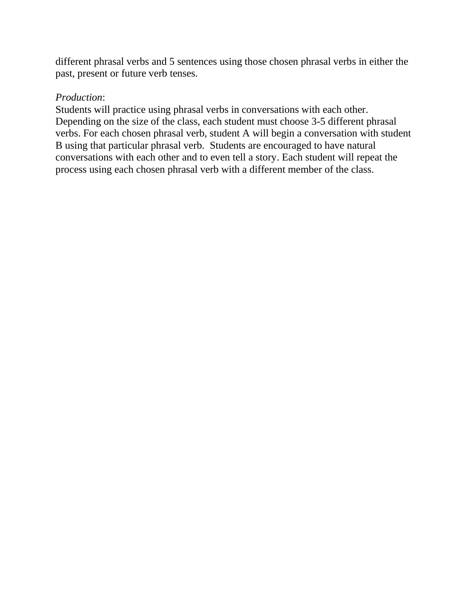different phrasal verbs and 5 sentences using those chosen phrasal verbs in either the past, present or future verb tenses.

### *Production*:

Students will practice using phrasal verbs in conversations with each other. Depending on the size of the class, each student must choose 3-5 different phrasal verbs. For each chosen phrasal verb, student A will begin a conversation with student B using that particular phrasal verb. Students are encouraged to have natural conversations with each other and to even tell a story. Each student will repeat the process using each chosen phrasal verb with a different member of the class.